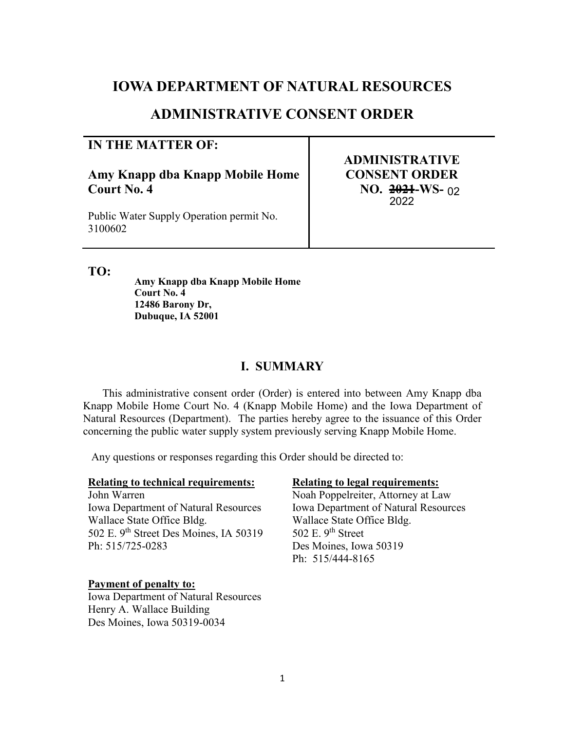# **LOWA DEPARTMENT OF NATURAL RESOURCES**

# **ADMINISTRATIVE CONSENT ORDER**

## **IN THE MATTER OF:**

**Amy Knapp dba Knapp Mobile Home Court No. 4** 

Public Water Supply Operation permit No. 3100602

**ADMINISTRATIVE CONSENT ORDER NO. 2021-WS-**022022

**TO:**

**Amy Knapp dba Knapp Mobile Home Court No. 4 12486 Barony Dr, Dubuque, IA 52001** 

## **I. SUMMARY**

 This administrative consent order (Order) is entered into between Amy Knapp dba Knapp Mobile Home Court No. 4 (Knapp Mobile Home) and the Iowa Department of Natural Resources (Department). The parties hereby agree to the issuance of this Order concerning the public water supply system previously serving Knapp Mobile Home.

Any questions or responses regarding this Order should be directed to:

#### **Relating to technical requirements: Relating to legal requirements:**

John Warren Noah Poppelreiter, Attorney at Law Iowa Department of Natural Resources Iowa Department of Natural Resources Wallace State Office Bldg. 502 E. 9th Street Des Moines, IA 50319 Ph: 515/725-0283 Des Moines, Iowa 50319

## **Payment of penalty to:**

Iowa Department of Natural Resources Henry A. Wallace Building Des Moines, Iowa 50319-0034

Wallace State Office Bldg. 502 E.  $9<sup>th</sup>$  Street Ph: 515/444-8165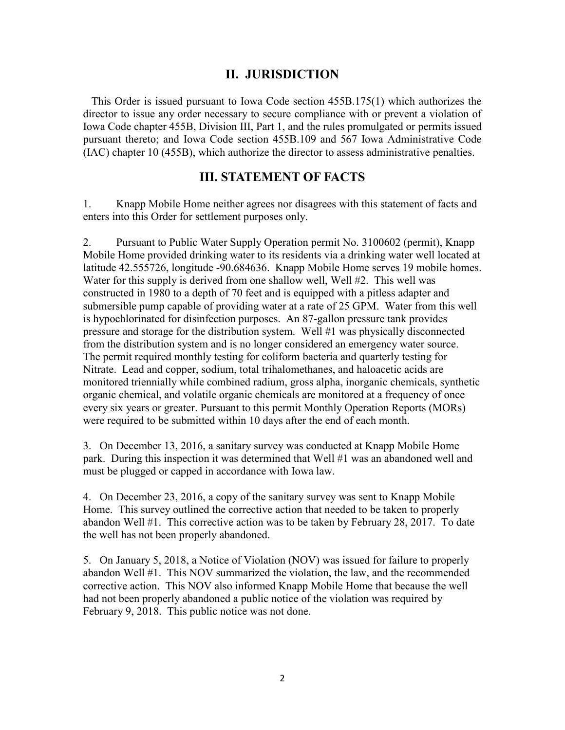## **II. JURISDICTION**

This Order is issued pursuant to Iowa Code section 455B.175(1) which authorizes the director to issue any order necessary to secure compliance with or prevent a violation of Iowa Code chapter 455B, Division III, Part 1, and the rules promulgated or permits issued pursuant thereto; and Iowa Code section 455B.109 and 567 Iowa Administrative Code (IAC) chapter 10 (455B), which authorize the director to assess administrative penalties.

## **III. STATEMENT OF FACTS**

1. Knapp Mobile Home neither agrees nor disagrees with this statement of facts and enters into this Order for settlement purposes only.

2. Pursuant to Public Water Supply Operation permit No. 3100602 (permit), Knapp Mobile Home provided drinking water to its residents via a drinking water well located at latitude 42.555726, longitude -90.684636. Knapp Mobile Home serves 19 mobile homes. Water for this supply is derived from one shallow well, Well #2. This well was constructed in 1980 to a depth of 70 feet and is equipped with a pitless adapter and submersible pump capable of providing water at a rate of 25 GPM. Water from this well is hypochlorinated for disinfection purposes. An 87-gallon pressure tank provides pressure and storage for the distribution system. Well #1 was physically disconnected from the distribution system and is no longer considered an emergency water source. The permit required monthly testing for coliform bacteria and quarterly testing for Nitrate. Lead and copper, sodium, total trihalomethanes, and haloacetic acids are monitored triennially while combined radium, gross alpha, inorganic chemicals, synthetic organic chemical, and volatile organic chemicals are monitored at a frequency of once every six years or greater. Pursuant to this permit Monthly Operation Reports (MORs) were required to be submitted within 10 days after the end of each month.

3. On December 13, 2016, a sanitary survey was conducted at Knapp Mobile Home park. During this inspection it was determined that Well #1 was an abandoned well and must be plugged or capped in accordance with Iowa law.

4. On December 23, 2016, a copy of the sanitary survey was sent to Knapp Mobile Home. This survey outlined the corrective action that needed to be taken to properly abandon Well #1. This corrective action was to be taken by February 28, 2017. To date the well has not been properly abandoned.

5. On January 5, 2018, a Notice of Violation (NOV) was issued for failure to properly abandon Well #1. This NOV summarized the violation, the law, and the recommended corrective action. This NOV also informed Knapp Mobile Home that because the well had not been properly abandoned a public notice of the violation was required by February 9, 2018. This public notice was not done.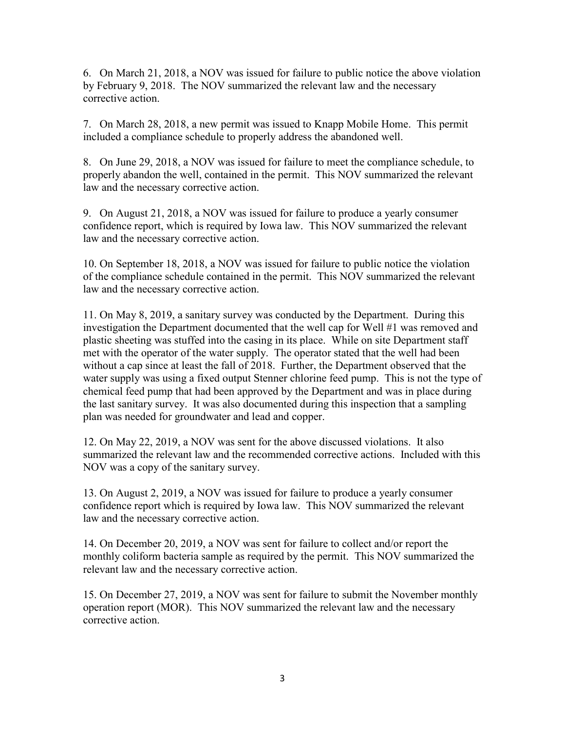6. On March 21, 2018, a NOV was issued for failure to public notice the above violation by February 9, 2018. The NOV summarized the relevant law and the necessary corrective action.

7. On March 28, 2018, a new permit was issued to Knapp Mobile Home. This permit included a compliance schedule to properly address the abandoned well.

8. On June 29, 2018, a NOV was issued for failure to meet the compliance schedule, to properly abandon the well, contained in the permit. This NOV summarized the relevant law and the necessary corrective action.

9. On August 21, 2018, a NOV was issued for failure to produce a yearly consumer confidence report, which is required by Iowa law. This NOV summarized the relevant law and the necessary corrective action.

10. On September 18, 2018, a NOV was issued for failure to public notice the violation of the compliance schedule contained in the permit. This NOV summarized the relevant law and the necessary corrective action.

11. On May 8, 2019, a sanitary survey was conducted by the Department. During this investigation the Department documented that the well cap for Well #1 was removed and plastic sheeting was stuffed into the casing in its place. While on site Department staff met with the operator of the water supply. The operator stated that the well had been without a cap since at least the fall of 2018. Further, the Department observed that the water supply was using a fixed output Stenner chlorine feed pump. This is not the type of chemical feed pump that had been approved by the Department and was in place during the last sanitary survey. It was also documented during this inspection that a sampling plan was needed for groundwater and lead and copper.

12. On May 22, 2019, a NOV was sent for the above discussed violations. It also summarized the relevant law and the recommended corrective actions. Included with this NOV was a copy of the sanitary survey.

13. On August 2, 2019, a NOV was issued for failure to produce a yearly consumer confidence report which is required by Iowa law. This NOV summarized the relevant law and the necessary corrective action.

14. On December 20, 2019, a NOV was sent for failure to collect and/or report the monthly coliform bacteria sample as required by the permit. This NOV summarized the relevant law and the necessary corrective action.

15. On December 27, 2019, a NOV was sent for failure to submit the November monthly operation report (MOR). This NOV summarized the relevant law and the necessary corrective action.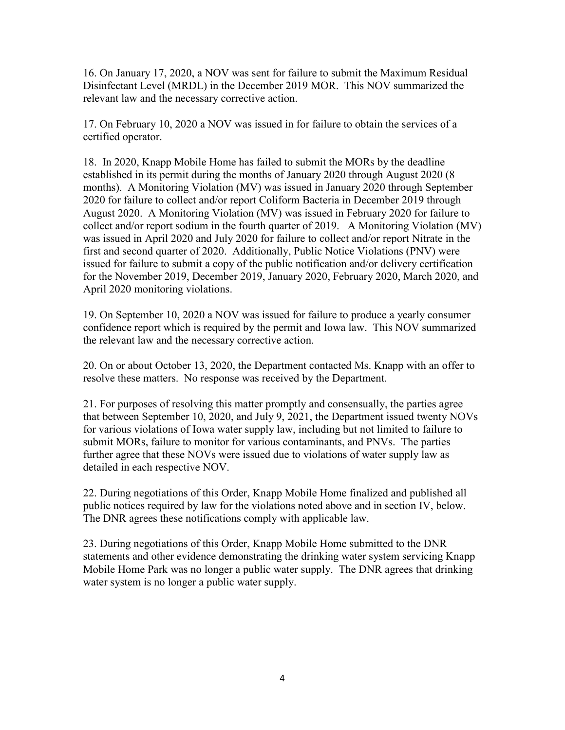16. On January 17, 2020, a NOV was sent for failure to submit the Maximum Residual Disinfectant Level (MRDL) in the December 2019 MOR. This NOV summarized the relevant law and the necessary corrective action.

17. On February 10, 2020 a NOV was issued in for failure to obtain the services of a certified operator.

18. In 2020, Knapp Mobile Home has failed to submit the MORs by the deadline established in its permit during the months of January 2020 through August 2020 (8 months). A Monitoring Violation (MV) was issued in January 2020 through September 2020 for failure to collect and/or report Coliform Bacteria in December 2019 through August 2020. A Monitoring Violation (MV) was issued in February 2020 for failure to collect and/or report sodium in the fourth quarter of 2019. A Monitoring Violation (MV) was issued in April 2020 and July 2020 for failure to collect and/or report Nitrate in the first and second quarter of 2020. Additionally, Public Notice Violations (PNV) were issued for failure to submit a copy of the public notification and/or delivery certification for the November 2019, December 2019, January 2020, February 2020, March 2020, and April 2020 monitoring violations.

19. On September 10, 2020 a NOV was issued for failure to produce a yearly consumer confidence report which is required by the permit and Iowa law. This NOV summarized the relevant law and the necessary corrective action.

20. On or about October 13, 2020, the Department contacted Ms. Knapp with an offer to resolve these matters. No response was received by the Department.

21. For purposes of resolving this matter promptly and consensually, the parties agree that between September 10, 2020, and July 9, 2021, the Department issued twenty NOVs for various violations of Iowa water supply law, including but not limited to failure to submit MORs, failure to monitor for various contaminants, and PNVs. The parties further agree that these NOVs were issued due to violations of water supply law as detailed in each respective NOV.

22. During negotiations of this Order, Knapp Mobile Home finalized and published all public notices required by law for the violations noted above and in section IV, below. The DNR agrees these notifications comply with applicable law.

23. During negotiations of this Order, Knapp Mobile Home submitted to the DNR statements and other evidence demonstrating the drinking water system servicing Knapp Mobile Home Park was no longer a public water supply. The DNR agrees that drinking water system is no longer a public water supply.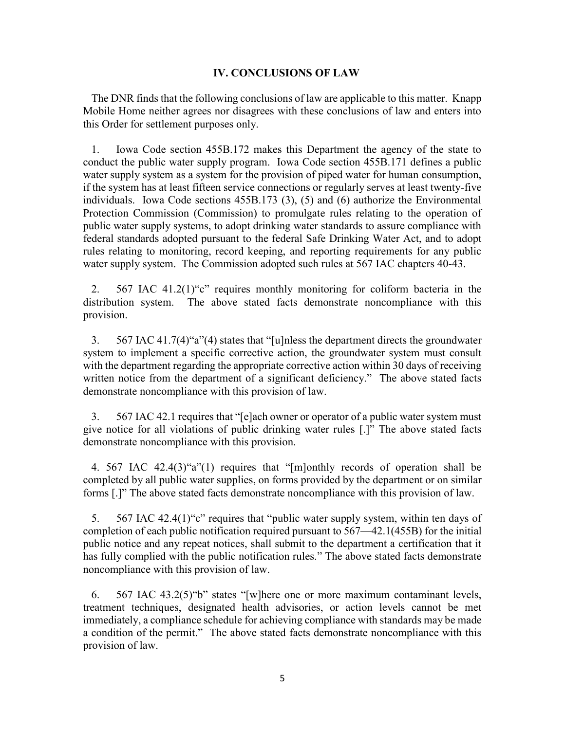#### **IV. CONCLUSIONS OF LAW**

The DNR finds that the following conclusions of law are applicable to this matter. Knapp Mobile Home neither agrees nor disagrees with these conclusions of law and enters into this Order for settlement purposes only.

1. Iowa Code section 455B.172 makes this Department the agency of the state to conduct the public water supply program. Iowa Code section 455B.171 defines a public water supply system as a system for the provision of piped water for human consumption, if the system has at least fifteen service connections or regularly serves at least twenty-five individuals. Iowa Code sections 455B.173 (3), (5) and (6) authorize the Environmental Protection Commission (Commission) to promulgate rules relating to the operation of public water supply systems, to adopt drinking water standards to assure compliance with federal standards adopted pursuant to the federal Safe Drinking Water Act, and to adopt rules relating to monitoring, record keeping, and reporting requirements for any public water supply system. The Commission adopted such rules at 567 IAC chapters 40-43.

2. 567 IAC 41.2(1) "c" requires monthly monitoring for coliform bacteria in the distribution system. The above stated facts demonstrate noncompliance with this provision.

3. 567 IAC 41.7(4) $a^{\prime\prime}(4)$  states that "[u]nless the department directs the groundwater system to implement a specific corrective action, the groundwater system must consult with the department regarding the appropriate corrective action within 30 days of receiving written notice from the department of a significant deficiency." The above stated facts demonstrate noncompliance with this provision of law.

3. 567 IAC 42.1 requires that "[e]ach owner or operator of a public water system must give notice for all violations of public drinking water rules  $[.]$ " The above stated facts demonstrate noncompliance with this provision.

4. 567 IAC  $42.4(3)$ "a"(1) requires that "[m]onthly records of operation shall be completed by all public water supplies, on forms provided by the department or on similar forms [.]" The above stated facts demonstrate noncompliance with this provision of law.

5.  $567$  IAC 42.4(1) "c" requires that "public water supply system, within ten days of completion of each public notification required pursuant to  $567-42.1(455B)$  for the initial public notice and any repeat notices, shall submit to the department a certification that it has fully complied with the public notification rules." The above stated facts demonstrate noncompliance with this provision of law.

6.  $567$  IAC 43.2(5) "b" states "[w]here one or more maximum contaminant levels, treatment techniques, designated health advisories, or action levels cannot be met immediately, a compliance schedule for achieving compliance with standards may be made a condition of the permit." The above stated facts demonstrate noncompliance with this provision of law.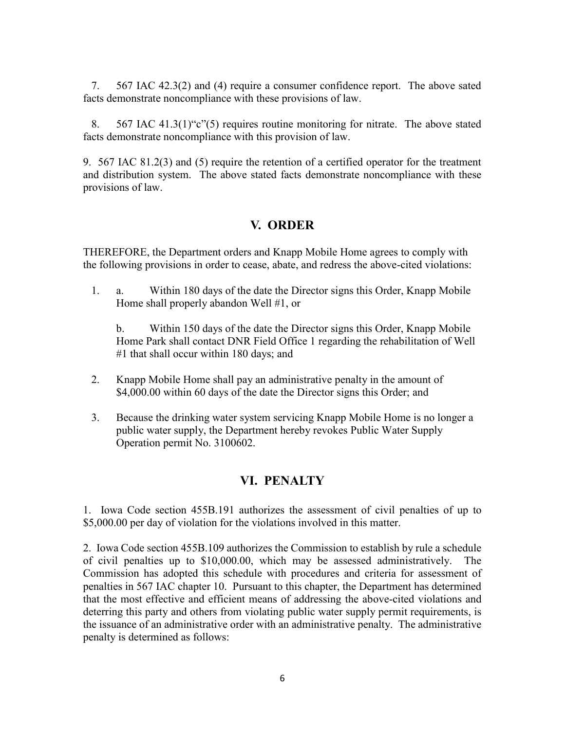7. 567 IAC 42.3(2) and (4) require a consumer confidence report. The above sated facts demonstrate noncompliance with these provisions of law.

8.  $567$  IAC 41.3(1) "c"(5) requires routine monitoring for nitrate. The above stated facts demonstrate noncompliance with this provision of law.

9. 567 IAC 81.2(3) and (5) require the retention of a certified operator for the treatment and distribution system. The above stated facts demonstrate noncompliance with these provisions of law.

# **V. ORDER**

THEREFORE, the Department orders and Knapp Mobile Home agrees to comply with the following provisions in order to cease, abate, and redress the above-cited violations:

1. a. Within 180 days of the date the Director signs this Order, Knapp Mobile Home shall properly abandon Well #1, or

b. Within 150 days of the date the Director signs this Order, Knapp Mobile Home Park shall contact DNR Field Office 1 regarding the rehabilitation of Well #1 that shall occur within 180 days; and

- 2. Knapp Mobile Home shall pay an administrative penalty in the amount of \$4,000.00 within 60 days of the date the Director signs this Order; and
- 3. Because the drinking water system servicing Knapp Mobile Home is no longer a public water supply, the Department hereby revokes Public Water Supply Operation permit No. 3100602.

# **VI. PENALTY**

1. Iowa Code section 455B.191 authorizes the assessment of civil penalties of up to \$5,000.00 per day of violation for the violations involved in this matter.

2. Iowa Code section 455B.109 authorizes the Commission to establish by rule a schedule of civil penalties up to \$10,000.00, which may be assessed administratively. The Commission has adopted this schedule with procedures and criteria for assessment of penalties in 567 IAC chapter 10. Pursuant to this chapter, the Department has determined that the most effective and efficient means of addressing the above-cited violations and deterring this party and others from violating public water supply permit requirements, is the issuance of an administrative order with an administrative penalty. The administrative penalty is determined as follows: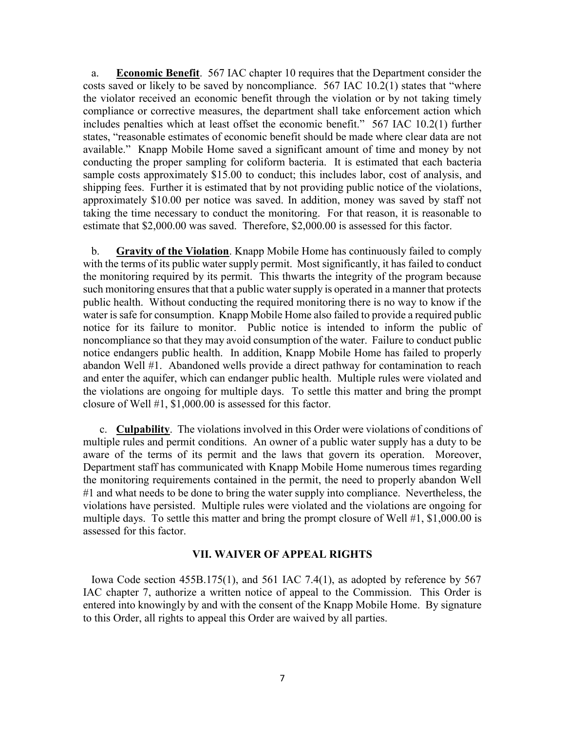a. **Economic Benefit**. 567 IAC chapter 10 requires that the Department consider the costs saved or likely to be saved by noncompliance.  $567$  IAC 10.2(1) states that "where the violator received an economic benefit through the violation or by not taking timely compliance or corrective measures, the department shall take enforcement action which includes penalties which at least offset the economic benefit."  $567$  IAC 10.2(1) further states, "reasonable estimates of economic benefit should be made where clear data are not available." Knapp Mobile Home saved a significant amount of time and money by not conducting the proper sampling for coliform bacteria. It is estimated that each bacteria sample costs approximately \$15.00 to conduct; this includes labor, cost of analysis, and shipping fees. Further it is estimated that by not providing public notice of the violations, approximately \$10.00 per notice was saved. In addition, money was saved by staff not taking the time necessary to conduct the monitoring. For that reason, it is reasonable to estimate that \$2,000.00 was saved. Therefore, \$2,000.00 is assessed for this factor.

b. **Gravity of the Violation**. Knapp Mobile Home has continuously failed to comply with the terms of its public water supply permit. Most significantly, it has failed to conduct the monitoring required by its permit. This thwarts the integrity of the program because such monitoring ensures that that a public water supply is operated in a manner that protects public health. Without conducting the required monitoring there is no way to know if the water is safe for consumption. Knapp Mobile Home also failed to provide a required public notice for its failure to monitor. Public notice is intended to inform the public of noncompliance so that they may avoid consumption of the water. Failure to conduct public notice endangers public health. In addition, Knapp Mobile Home has failed to properly abandon Well #1. Abandoned wells provide a direct pathway for contamination to reach and enter the aquifer, which can endanger public health. Multiple rules were violated and the violations are ongoing for multiple days. To settle this matter and bring the prompt closure of Well #1, \$1,000.00 is assessed for this factor.

c. **Culpability**. The violations involved in this Order were violations of conditions of multiple rules and permit conditions. An owner of a public water supply has a duty to be aware of the terms of its permit and the laws that govern its operation. Moreover, Department staff has communicated with Knapp Mobile Home numerous times regarding the monitoring requirements contained in the permit, the need to properly abandon Well #1 and what needs to be done to bring the water supply into compliance. Nevertheless, the violations have persisted. Multiple rules were violated and the violations are ongoing for multiple days. To settle this matter and bring the prompt closure of Well #1, \$1,000.00 is assessed for this factor.

#### **VII. WAIVER OF APPEAL RIGHTS**

Iowa Code section 455B.175(1), and 561 IAC 7.4(1), as adopted by reference by 567 IAC chapter 7, authorize a written notice of appeal to the Commission. This Order is entered into knowingly by and with the consent of the Knapp Mobile Home. By signature to this Order, all rights to appeal this Order are waived by all parties.